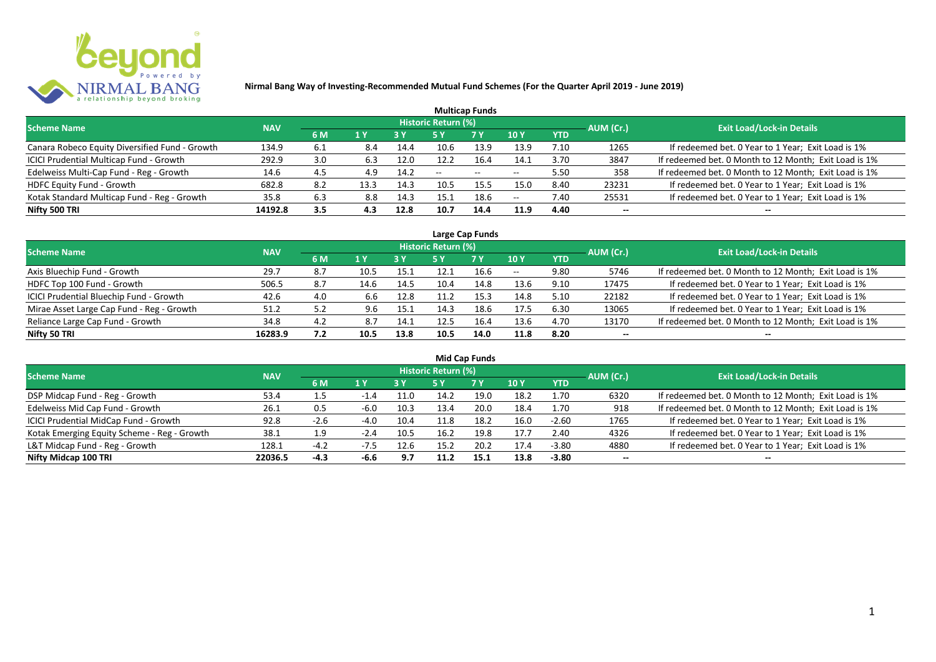

|                                                |            |     |      |            |                            | <b>Multicap Funds</b>    |                          |      |           |                                                       |
|------------------------------------------------|------------|-----|------|------------|----------------------------|--------------------------|--------------------------|------|-----------|-------------------------------------------------------|
| <b>Scheme Name</b>                             | <b>NAV</b> |     |      |            | <b>Historic Return (%)</b> |                          |                          |      | AUM (Cr.) | <b>Exit Load/Lock-in Details</b>                      |
|                                                |            | 6 M | 1 Y  | <b>3 Y</b> |                            | <b>7Y</b>                | <b>10Y</b>               | YTD  |           |                                                       |
| Canara Robeco Equity Diversified Fund - Growth | 134.9      | 6.1 | 8.4  | 14.4       | 10.6                       | 13.9                     | 13.9                     | 7.10 | 1265      | If redeemed bet. 0 Year to 1 Year; Exit Load is 1%    |
| ICICI Prudential Multicap Fund - Growth        | 292.9      | 3.0 | 6.3  | 12.0       | 12.2                       | 16.4                     | 14.1                     | 3.70 | 3847      | If redeemed bet. 0 Month to 12 Month; Exit Load is 1% |
| Edelweiss Multi-Cap Fund - Reg - Growth        | 14.6       | 4.5 | 4.9  | 14.2       | $- -$                      | $\overline{\phantom{a}}$ | $\hspace{0.05cm} \ldots$ | 5.50 | 358       | If redeemed bet. 0 Month to 12 Month; Exit Load is 1% |
| <b>HDFC Equity Fund - Growth</b>               | 682.8      | 8.2 | 13.3 | 14.3       | 10.5                       | 15.5                     | 15.0                     | 8.40 | 23231     | If redeemed bet. 0 Year to 1 Year; Exit Load is 1%    |
| Kotak Standard Multicap Fund - Reg - Growth    | 35.8       | 6.3 | 8.8  | 14.3       | 15.1                       | 18.6                     | н.                       | 7.40 | 25531     | If redeemed bet. 0 Year to 1 Year; Exit Load is 1%    |
| Nifty 500 TRI                                  | 14192.8    | 3.5 | 4.3  | 12.8       | 10.7                       | 14.4                     | 11.9                     | 4.40 | $- -$     | $- -$                                                 |

|                                           |            |     |                  |      |                     | Large Cap Funds |            |            |           |                                                       |
|-------------------------------------------|------------|-----|------------------|------|---------------------|-----------------|------------|------------|-----------|-------------------------------------------------------|
| Scheme Name                               | <b>NAV</b> |     |                  |      | Historic Return (%) |                 |            |            | AUM (Cr.) | <b>Exit Load/Lock-in Details</b>                      |
|                                           |            | 6 M | $\overline{1}$ Y |      | 5 Y                 | <b>7Y</b>       | <b>10Y</b> | <b>YTD</b> |           |                                                       |
| Axis Bluechip Fund - Growth               | 29.7       | 8.7 | 10.5             | 15.1 |                     | 16.6            | $- -$      | 9.80       | 5746      | If redeemed bet. 0 Month to 12 Month; Exit Load is 1% |
| HDFC Top 100 Fund - Growth                | 506.5      | 8.7 | 14.6             | 14.5 | 10.4                | 14.8            | 13.6       | 9.10       | 17475     | If redeemed bet. 0 Year to 1 Year; Exit Load is 1%    |
| ICICI Prudential Bluechip Fund - Growth   | 42.6       | 4.0 | 6.6              | 12.8 |                     | 15.3            | 14.8       | 5.10       | 22182     | If redeemed bet. 0 Year to 1 Year; Exit Load is 1%    |
| Mirae Asset Large Cap Fund - Reg - Growth | 51.2       | 5.2 | 9.6              | 15.1 | 14.3                | 18.6            | 17.5       | 6.30       | 13065     | If redeemed bet. 0 Year to 1 Year; Exit Load is 1%    |
| Reliance Large Cap Fund - Growth          | 34.8       | 4.2 | 8.7              | 14.1 | 12.5                | 16.4            | 13.6       | 4.70       | 13170     | If redeemed bet. 0 Month to 12 Month; Exit Load is 1% |
| Nifty 50 TRI                              | 16283.9    | 7.2 | 10.5             | 13.8 | 10.5                | 14.0            | 11.8       | 8.20       |           |                                                       |

| <b>Mid Cap Funds</b>                        |            |        |                |      |                            |      |      |            |                          |                                                       |  |  |  |
|---------------------------------------------|------------|--------|----------------|------|----------------------------|------|------|------------|--------------------------|-------------------------------------------------------|--|--|--|
| <b>Scheme Name</b>                          | <b>NAV</b> |        |                |      | <b>Historic Return (%)</b> |      |      |            | AUM (Cr.)                | <b>Exit Load/Lock-in Details</b>                      |  |  |  |
|                                             |            | 6 M    | 1 <sup>Y</sup> | 3 Y  | 5 Y                        | 7 Y  | 10Y  | <b>YTD</b> |                          |                                                       |  |  |  |
| DSP Midcap Fund - Reg - Growth              | 53.4       | 1.5    |                | 11.0 | 14.2                       | 19.0 | 18.2 | 1.70       | 6320                     | If redeemed bet. 0 Month to 12 Month; Exit Load is 1% |  |  |  |
| Edelweiss Mid Cap Fund - Growth             | 26.1       | 0.5    | $-6.0$         | 10.3 | 13.4                       | 20.0 | 18.4 | 1.70       | 918                      | If redeemed bet. 0 Month to 12 Month; Exit Load is 1% |  |  |  |
| ICICI Prudential MidCap Fund - Growth       | 92.8       | $-2.6$ | $-4.0$         | 10.4 | 11.8                       | 18.2 | 16.0 | $-2.60$    | 1765                     | If redeemed bet. 0 Year to 1 Year; Exit Load is 1%    |  |  |  |
| Kotak Emerging Equity Scheme - Reg - Growth | 38.1       | 1.9    |                | 10.5 | 16.2                       | 19.8 | 17.7 | 2.40       | 4326                     | If redeemed bet. 0 Year to 1 Year; Exit Load is 1%    |  |  |  |
| L&T Midcap Fund - Reg - Growth              | 128.1      | $-4.2$ | $-7.5$         | 12.6 | 15.2                       | 20.2 | 17.4 | $-3.80$    | 4880                     | If redeemed bet. 0 Year to 1 Year; Exit Load is 1%    |  |  |  |
| Nifty Midcap 100 TRI                        | 22036.5    | $-4.3$ | -6.6           | 9.7  | 11.2                       | 15.1 | 13.8 | $-3.80$    | $\overline{\phantom{a}}$ | --                                                    |  |  |  |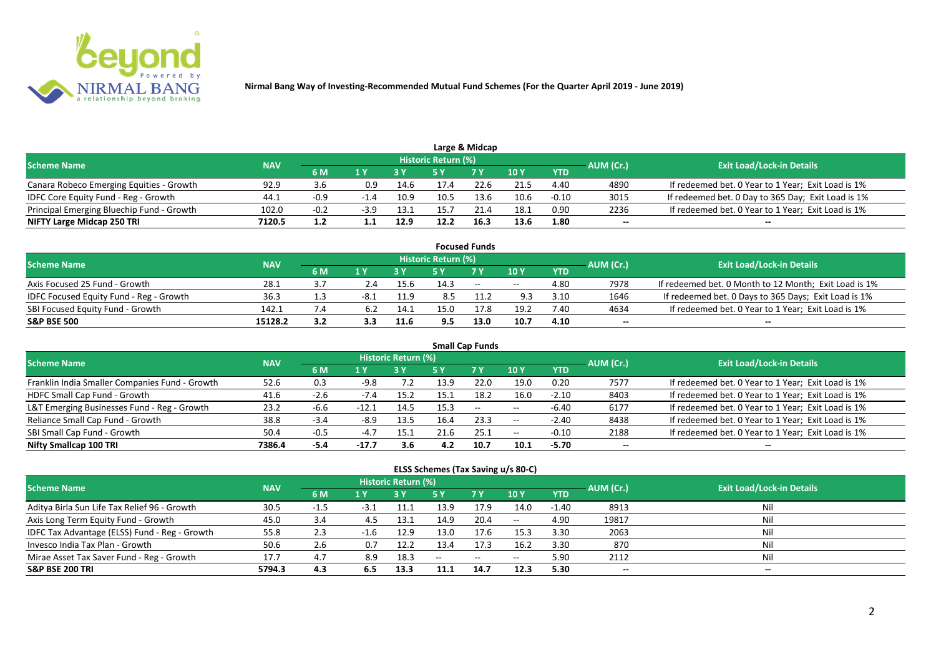

|                                           |            |        |        |      |                            | Large & Midcap |      |            |           |                                                    |
|-------------------------------------------|------------|--------|--------|------|----------------------------|----------------|------|------------|-----------|----------------------------------------------------|
| <b>Scheme Name</b>                        | <b>NAV</b> |        |        |      | <b>Historic Return (%)</b> |                |      |            | AUM (Cr.) | <b>Exit Load/Lock-in Details</b>                   |
|                                           |            | 6 M    |        |      |                            | 7 Y            | 10 Y | <b>YTD</b> |           |                                                    |
| Canara Robeco Emerging Equities - Growth  | 92.9       | 3.6    | 0.9    | 14.6 | 17.4                       | 22.6           | 21.5 | 4.40       | 4890      | If redeemed bet. 0 Year to 1 Year; Exit Load is 1% |
| IDFC Core Equity Fund - Reg - Growth      | 44.1       | $-0.9$ |        | 10.9 | 10.5                       | 13.6           | 10.6 | $-0.10$    | 3015      | If redeemed bet. 0 Day to 365 Day; Exit Load is 1% |
| Principal Emerging Bluechip Fund - Growth | 102.0      | $-0.2$ | $-3.9$ | 13.1 | 15.7                       |                | 18.1 | 0.90       | 2236      | If redeemed bet. 0 Year to 1 Year; Exit Load is 1% |
| NIFTY Large Midcap 250 TRI                | 7120.5     |        |        | 12.9 | 12.2                       | 16.3           | 13.6 | 1.80       | --        | $- -$                                              |

|                                                |            |     |     |      |                     | <b>Focused Funds</b> |            |            |           |                                                       |
|------------------------------------------------|------------|-----|-----|------|---------------------|----------------------|------------|------------|-----------|-------------------------------------------------------|
| <b>Scheme Name</b>                             | <b>NAV</b> |     |     |      | Historic Return (%) |                      |            |            | AUM (Cr.) | <b>Exit Load/Lock-in Details</b>                      |
|                                                |            | 6 M | 1 V |      |                     | 7 Y                  | 10Y        | <b>YTD</b> |           |                                                       |
| Axis Focused 25 Fund - Growth                  | 28.1       |     | 2.4 | 15.6 | 14.3                | $\sim$               | $\sim$ $-$ | 4.80       | 7978      | If redeemed bet. 0 Month to 12 Month; Exit Load is 1% |
| <b>IDFC Focused Equity Fund - Reg - Growth</b> | 36.3       |     |     | 11.9 | 8.5                 |                      | 9.3        | 3.10       | 1646      | If redeemed bet. 0 Days to 365 Days; Exit Load is 1%  |
| SBI Focused Equity Fund - Growth               | 142.1      | 7.4 |     | 14.1 | 15.0                |                      | 19.2       | 7.40       | 4634      | If redeemed bet. 0 Year to 1 Year; Exit Load is 1%    |
| <b>S&amp;P BSE 500</b>                         | 15128.2    |     | 3.3 | 11.6 | 9.5                 | 13.0                 | 10.7       | 4.10       | --        | --                                                    |

| <b>Small Cap Funds</b>                         |            |        |         |                     |      |           |            |            |           |                                                    |  |  |  |
|------------------------------------------------|------------|--------|---------|---------------------|------|-----------|------------|------------|-----------|----------------------------------------------------|--|--|--|
| <b>Scheme Name</b>                             | <b>NAV</b> |        |         | Historic Return (%) |      |           |            |            | AUM (Cr.) | <b>Exit Load/Lock-in Details</b>                   |  |  |  |
|                                                |            | 6 M    | 1 Y     |                     | 5 Y  | <b>7Y</b> | 10Y        | <b>YTD</b> |           |                                                    |  |  |  |
| Franklin India Smaller Companies Fund - Growth | 52.6       | 0.3    | -9.8    | 7.2                 | 13.9 | 22.0      | 19.0       | 0.20       | 7577      | If redeemed bet. 0 Year to 1 Year; Exit Load is 1% |  |  |  |
| HDFC Small Cap Fund - Growth                   | 41.6       | $-2.6$ | $-7.4$  | 15.2                | 15.1 | 18.2      | 16.0       | $-2.10$    | 8403      | If redeemed bet. 0 Year to 1 Year; Exit Load is 1% |  |  |  |
| L&T Emerging Businesses Fund - Reg - Growth    | 23.2       | -6.6   | -12.1   | 14.5                | 15.3 | $\sim$    | $\sim$ $-$ | $-6.40$    | 6177      | If redeemed bet. 0 Year to 1 Year; Exit Load is 1% |  |  |  |
| Reliance Small Cap Fund - Growth               | 38.8       | $-3.4$ | $-8.9$  | 13.5                | 16.4 | 23.3      | $\sim$ $-$ | $-2.40$    | 8438      | If redeemed bet. 0 Year to 1 Year; Exit Load is 1% |  |  |  |
| SBI Small Cap Fund - Growth                    | 50.4       | $-0.5$ | $-4.7$  | 15.1                | 21.6 | -25.1     | $- -$      | $-0.10$    | 2188      | If redeemed bet. 0 Year to 1 Year; Exit Load is 1% |  |  |  |
| Nifty Smallcap 100 TRI                         | 7386.4     | -5.4   | $-17.7$ | 3.6                 | 4.2  | 10.7      | 10.1       | $-5.70$    | $- -$     | --                                                 |  |  |  |

#### **ELSS Schemes (Tax Saving u/s 80-C)**

| <b>Scheme Name</b>                            | <b>NAV</b> |        |     | <b>Historic Return (%)</b> |      |            |                 |            | AUM (Cr.) | <b>Exit Load/Lock-in Details</b> |
|-----------------------------------------------|------------|--------|-----|----------------------------|------|------------|-----------------|------------|-----------|----------------------------------|
|                                               |            | 6 M    | 1 Y |                            | 5 Y  | <b>7 Y</b> | 10 <sub>1</sub> | <b>YTD</b> |           |                                  |
| Aditya Birla Sun Life Tax Relief 96 - Growth  | 30.5       | $-1.5$ |     | 11.1                       | 13.9 | 17.9       | 14.0            | $-1.40$    | 8913      |                                  |
| Axis Long Term Equity Fund - Growth           | 45.0       | 3.4    | 4.5 | 13.1                       | 14.9 | 20.4       | $-$             | 4.90       | 19817     | Nil                              |
| IDFC Tax Advantage (ELSS) Fund - Reg - Growth | 55.8       | 2.3    |     | 12.9                       | 13.0 | 17.6       | 15.3            | 3.30       | 2063      | Ni                               |
| Invesco India Tax Plan - Growth               | 50.6       | 2.6    | 0.7 | 12.2                       | 13.4 | 17.3       | 16.2            | 3.30       | 870       | Ni                               |
| Mirae Asset Tax Saver Fund - Reg - Growth     | 17.7       | 4.7    | 8.9 | 18.3                       | $-$  | $--$       | $- -$           | 5.90       | 2112      | Nil                              |
| <b>S&amp;P BSE 200 TRI</b>                    | 5794.3     | 4.3    | 6.5 | 13.3                       | 11.1 | 14.7       | 12.3            | 5.30       | --        | $- -$                            |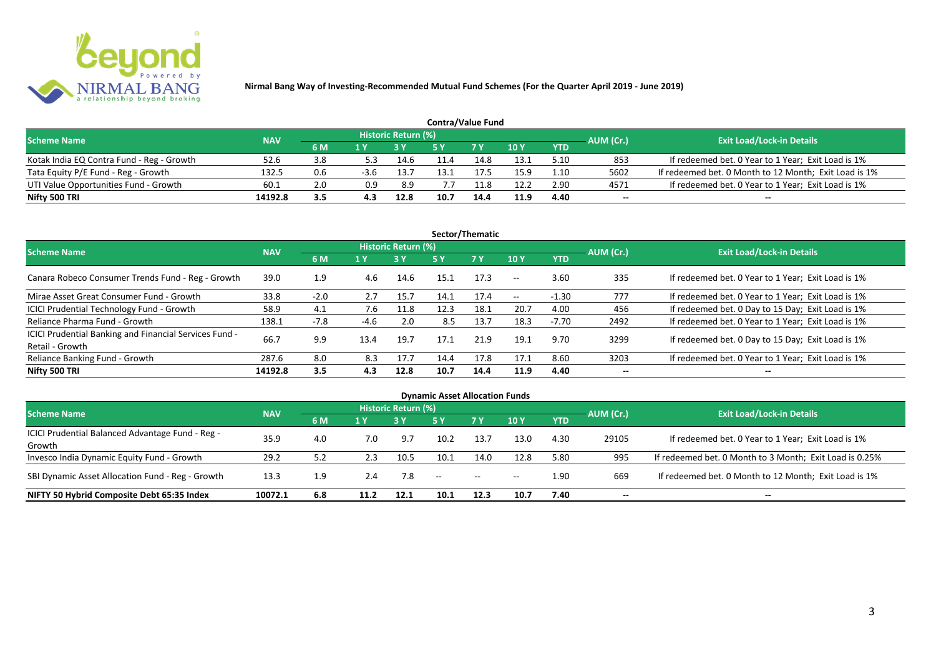

| <b>Contra/Value Fund</b>                  |            |     |      |                     |      |            |        |            |           |                                                       |  |  |  |
|-------------------------------------------|------------|-----|------|---------------------|------|------------|--------|------------|-----------|-------------------------------------------------------|--|--|--|
| <b>Scheme Name</b>                        | <b>NAV</b> |     |      | Historic Return (%) |      |            |        |            | AUM (Cr.) | <b>Exit Load/Lock-in Details</b>                      |  |  |  |
|                                           |            | 6 M | 1 Y  |                     | 5 V  | <b>7 V</b> | $-10Y$ | <b>YTD</b> |           |                                                       |  |  |  |
| Kotak India EQ Contra Fund - Reg - Growth | 52.6       | 3.8 | 5.3  | 14.6                | 11.4 | 14.8       | 13.1   | 5.10       | 853       | If redeemed bet. 0 Year to 1 Year; Exit Load is 1%    |  |  |  |
| Tata Equity P/E Fund - Reg - Growth       | 132.5      | 0.6 | -3.6 | 13.7                |      | 7.5        | 15.9   | .10        | 5602      | If redeemed bet. 0 Month to 12 Month; Exit Load is 1% |  |  |  |
| UTI Value Opportunities Fund - Growth     | 60.1       | 2.0 | 0.9  | 8.9                 |      | . 1.8      | 12.2   | 2.90       | 4571      | If redeemed bet. 0 Year to 1 Year; Exit Load is 1%    |  |  |  |
| Nifty 500 TRI                             | 14192.8    | 3.5 | 4.3  | 12.8                | 10.7 | 14.4       | 11.9   | 4.40       | --        | $- -$                                                 |  |  |  |

| Sector/Thematic                                                           |            |        |      |                     |      |           |                          |            |           |                                                    |  |  |  |
|---------------------------------------------------------------------------|------------|--------|------|---------------------|------|-----------|--------------------------|------------|-----------|----------------------------------------------------|--|--|--|
| <b>Scheme Name</b>                                                        | <b>NAV</b> |        |      | Historic Return (%) |      |           |                          |            | AUM (Cr.) | <b>Exit Load/Lock-in Details</b>                   |  |  |  |
|                                                                           |            | 6 M    | 1 Y  | 3 Y                 | 5 Y  | <b>7Y</b> | <b>10Y</b>               | <b>YTD</b> |           |                                                    |  |  |  |
| Canara Robeco Consumer Trends Fund - Reg - Growth                         | 39.0       | 1.9    | 4.6  | 14.6                | 15.1 | 17.3      | $\overline{\phantom{a}}$ | 3.60       | 335       | If redeemed bet. 0 Year to 1 Year; Exit Load is 1% |  |  |  |
| Mirae Asset Great Consumer Fund - Growth                                  | 33.8       | $-2.0$ | 2.7  | 15.7                | 14.1 | 17.4      | $- -$                    | $-1.30$    | 777       | If redeemed bet. 0 Year to 1 Year; Exit Load is 1% |  |  |  |
| <b>ICICI Prudential Technology Fund - Growth</b>                          | 58.9       | 4.1    | 7.6  | 11.8                | 12.3 | 18.1      | 20.7                     | 4.00       | 456       | If redeemed bet. 0 Day to 15 Day; Exit Load is 1%  |  |  |  |
| Reliance Pharma Fund - Growth                                             | 138.1      | $-7.8$ | -4.6 | 2.0                 | 8.5  | 13.7      | 18.3                     | $-7.70$    | 2492      | If redeemed bet. 0 Year to 1 Year; Exit Load is 1% |  |  |  |
| ICICI Prudential Banking and Financial Services Fund -<br>Retail - Growth | 66.7       | 9.9    | 13.4 | 19.7                | 17.1 | 21.9      | 19.1                     | 9.70       | 3299      | If redeemed bet. 0 Day to 15 Day; Exit Load is 1%  |  |  |  |
| Reliance Banking Fund - Growth                                            | 287.6      | 8.0    | 8.3  | 17.7                | 14.4 | 17.8      | 17.1                     | 8.60       | 3203      | If redeemed bet. 0 Year to 1 Year; Exit Load is 1% |  |  |  |
| Nifty 500 TRI                                                             | 14192.8    | 3.5    | 4.3  | 12.8                | 10.7 | 14.4      | 11.9                     | 4.40       | $- -$     | $- -$                                              |  |  |  |

| <b>Dynamic Asset Allocation Funds</b>            |            |                  |      |                            |            |           |            |            |           |                                                         |  |  |  |
|--------------------------------------------------|------------|------------------|------|----------------------------|------------|-----------|------------|------------|-----------|---------------------------------------------------------|--|--|--|
| <b>Scheme Name</b>                               | <b>NAV</b> |                  |      | <b>Historic Return (%)</b> |            |           |            |            |           | <b>Exit Load/Lock-in Details</b>                        |  |  |  |
|                                                  |            | 6 M              | 1 Y  |                            | <b>5 Y</b> | <b>7Y</b> | <b>10Y</b> | <b>YTD</b> | AUM (Cr.) |                                                         |  |  |  |
| ICICI Prudential Balanced Advantage Fund - Reg - |            |                  |      | 9.7                        |            |           |            |            |           |                                                         |  |  |  |
| Growth                                           | 35.9       | 4.0              | 7.0  |                            | 10.2       | 13.7      | 13.0       | 4.30       | 29105     | If redeemed bet. 0 Year to 1 Year; Exit Load is 1%      |  |  |  |
| Invesco India Dynamic Equity Fund - Growth       | 29.2       | 5.2              | 2.3  | 10.5                       | 10.1       | 14.0      | 12.8       | 5.80       | 995       | If redeemed bet. 0 Month to 3 Month; Exit Load is 0.25% |  |  |  |
| SBI Dynamic Asset Allocation Fund - Reg - Growth | 13.3       | 1.9 <sup>°</sup> | 2.4  | 7.8                        | $\sim$     | $\sim$    | $- -$      | 1.90       | 669       | If redeemed bet. 0 Month to 12 Month; Exit Load is 1%   |  |  |  |
| NIFTY 50 Hybrid Composite Debt 65:35 Index       | 10072.1    | 6.8              | 11.2 | 12.1                       | 10.1       | 12.3      | 10.7       | 7.40       | --        | $- -$                                                   |  |  |  |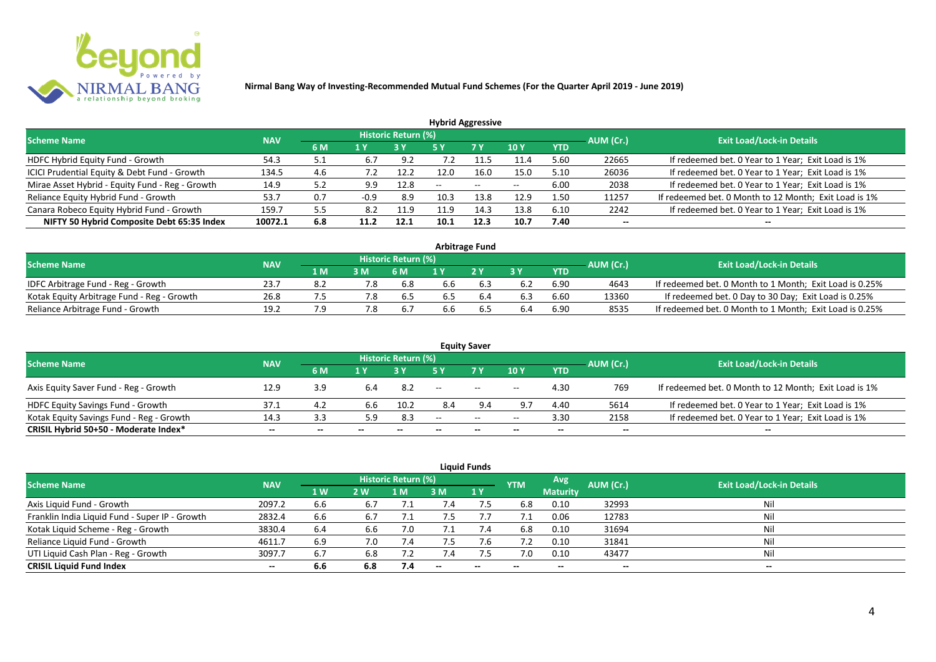

| <b>Hybrid Aggressive</b>                        |            |     |        |                     |        |               |            |            |           |                                                       |  |  |  |
|-------------------------------------------------|------------|-----|--------|---------------------|--------|---------------|------------|------------|-----------|-------------------------------------------------------|--|--|--|
| <b>Scheme Name</b>                              | <b>NAV</b> |     |        | Historic Return (%) |        |               |            |            | AUM (Cr.) | <b>Exit Load/Lock-in Details</b>                      |  |  |  |
|                                                 |            | 6 M | 1 Y    |                     | 5 Y    | 7 Y           | <b>10Y</b> | <b>YTD</b> |           |                                                       |  |  |  |
| HDFC Hybrid Equity Fund - Growth                | 54.3       | 5.1 | 6.7    | 9.2                 |        | 11.7          | 11.4       | 5.60       | 22665     | If redeemed bet. 0 Year to 1 Year; Exit Load is 1%    |  |  |  |
| ICICI Prudential Equity & Debt Fund - Growth    | 134.5      | 4.6 |        | 12.2                | 12.0   | 16.0          | 15.0       | 5.10       | 26036     | If redeemed bet. 0 Year to 1 Year; Exit Load is 1%    |  |  |  |
| Mirae Asset Hybrid - Equity Fund - Reg - Growth | 14.9       | 5.2 | 9.9    | 12.8                | $\sim$ | $\sim$ $\sim$ | $- -$      | 6.00       | 2038      | If redeemed bet. 0 Year to 1 Year; Exit Load is 1%    |  |  |  |
| Reliance Equity Hybrid Fund - Growth            | 53.7       | 0.7 | $-0.9$ | 8.9                 | 10.3   | 13.8          | 12.9       | 1.50       | 11257     | If redeemed bet. 0 Month to 12 Month; Exit Load is 1% |  |  |  |
| Canara Robeco Equity Hybrid Fund - Growth       | 159.7      | 5.5 | 8.2    | 11.9                | 11.9   | 14.3          | 13.8       | 6.10       | 2242      | If redeemed bet. 0 Year to 1 Year; Exit Load is 1%    |  |  |  |
| NIFTY 50 Hybrid Composite Debt 65:35 Index      | 10072.1    | 6.8 | 11.2   | 12.1                | 10.1   | 12.3          | 10.7       | 7.40       | --        |                                                       |  |  |  |
|                                                 |            |     |        |                     |        |               |            |            |           |                                                       |  |  |  |

| <b>Arbitrage Fund</b>                      |            |      |     |                            |     |     |     |            |           |                                                         |  |  |  |
|--------------------------------------------|------------|------|-----|----------------------------|-----|-----|-----|------------|-----------|---------------------------------------------------------|--|--|--|
| <b>Scheme Name</b>                         | <b>NAV</b> |      |     | <b>Historic Return (%)</b> |     |     |     |            | AUM (Cr.) | <b>Exit Load/Lock-in Details</b>                        |  |  |  |
|                                            |            | 1 M. |     | 6 M                        |     | 2V  |     | <b>YTD</b> |           |                                                         |  |  |  |
| IDFC Arbitrage Fund - Reg - Growth         | 23.7       | 8.2  |     | 6.8                        | 6.6 |     | 6.2 | 6.90       | 4643      | If redeemed bet. 0 Month to 1 Month; Exit Load is 0.25% |  |  |  |
| Kotak Equity Arbitrage Fund - Reg - Growth | 26.8       |      |     | b.5                        | b.5 | b.4 | 6.3 | 6.60       | 13360     | If redeemed bet. 0 Day to 30 Day; Exit Load is 0.25%    |  |  |  |
| Reliance Arbitrage Fund - Growth           | 19.2       |      | 7.8 |                            | 5.6 |     | 6.4 | 6.90       | 8535      | If redeemed bet. 0 Month to 1 Month; Exit Load is 0.25% |  |  |  |

|                                          |            |     |     |                     |       | <b>Equity Saver</b> |                          |            |           |                                                       |
|------------------------------------------|------------|-----|-----|---------------------|-------|---------------------|--------------------------|------------|-----------|-------------------------------------------------------|
| <b>Scheme Name</b>                       | <b>NAV</b> |     |     | Historic Return (%) |       |                     |                          |            |           | <b>Exit Load/Lock-in Details</b>                      |
|                                          |            | 6 M | 1 V |                     |       | <b>7Y</b>           | 10Y                      | <b>YTD</b> | AUM (Cr.) |                                                       |
| Axis Equity Saver Fund - Reg - Growth    | 12.9       | 3.9 |     | 8.2                 | $- -$ | $\sim$              | $\overline{\phantom{a}}$ | 4.30       | 769       | If redeemed bet. 0 Month to 12 Month; Exit Load is 1% |
| HDFC Equity Savings Fund - Growth        | 37.1       |     | 6.b | 10.2                | 8.4   |                     | 9.7                      | 4.40       | 5614      | If redeemed bet. 0 Year to 1 Year; Exit Load is 1%    |
| Kotak Equity Savings Fund - Reg - Growth | 14.3       | 3.3 | 5.9 | 8.3                 | $- -$ | $- -$               | $- -$                    | 3.30       | 2158      | If redeemed bet. 0 Year to 1 Year; Exit Load is 1%    |
| CRISIL Hybrid 50+50 - Moderate Index*    | $- -$      | --  | $-$ | $- -$               | --    | --                  | $- -$                    | $- -$      | $-$       | $- -$                                                 |

| <b>Liquid Funds</b>                            |            |           |     |                            |             |           |            |                 |           |                                  |  |  |  |
|------------------------------------------------|------------|-----------|-----|----------------------------|-------------|-----------|------------|-----------------|-----------|----------------------------------|--|--|--|
| <b>Scheme Name</b>                             | <b>NAV</b> |           |     | <b>Historic Return (%)</b> |             |           | <b>YTM</b> | Avg             | AUM (Cr.) | <b>Exit Load/Lock-in Details</b> |  |  |  |
|                                                |            | <b>1W</b> | 2W  | 1 M                        | 3 M         | <b>1Y</b> |            | <b>Maturity</b> |           |                                  |  |  |  |
| Axis Liquid Fund - Growth                      | 2097.2     | 6.6       | 6.7 |                            | $\sqrt{.4}$ |           | 6.8        | 0.10            | 32993     | Nil                              |  |  |  |
| Franklin India Liquid Fund - Super IP - Growth | 2832.4     | 6.6       | 6.7 |                            |             |           |            | 0.06            | 12783     | Nil                              |  |  |  |
| Kotak Liquid Scheme - Reg - Growth             | 3830.4     | 6.4       | 6.6 | 7.0                        |             | .4        | 6.8        | 0.10            | 31694     | Nil                              |  |  |  |
| Reliance Liquid Fund - Growth                  | 4611.7     | 6.9       | 7.0 | 7.4                        | 7.5         | 7.6       |            | 0.10            | 31841     | Nil                              |  |  |  |
| UTI Liquid Cash Plan - Reg - Growth            | 3097.7     | 6.7       | 6.8 | 7.2                        | 7.4         |           | 7.0        | 0.10            | 43477     | Nil                              |  |  |  |
| <b>CRISIL Liquid Fund Index</b>                | $- -$      | 6.6       | 6.8 | 7.4                        | $\sim$      | $-$       | $- -$      | $- -$           | $- -$     | $\sim$                           |  |  |  |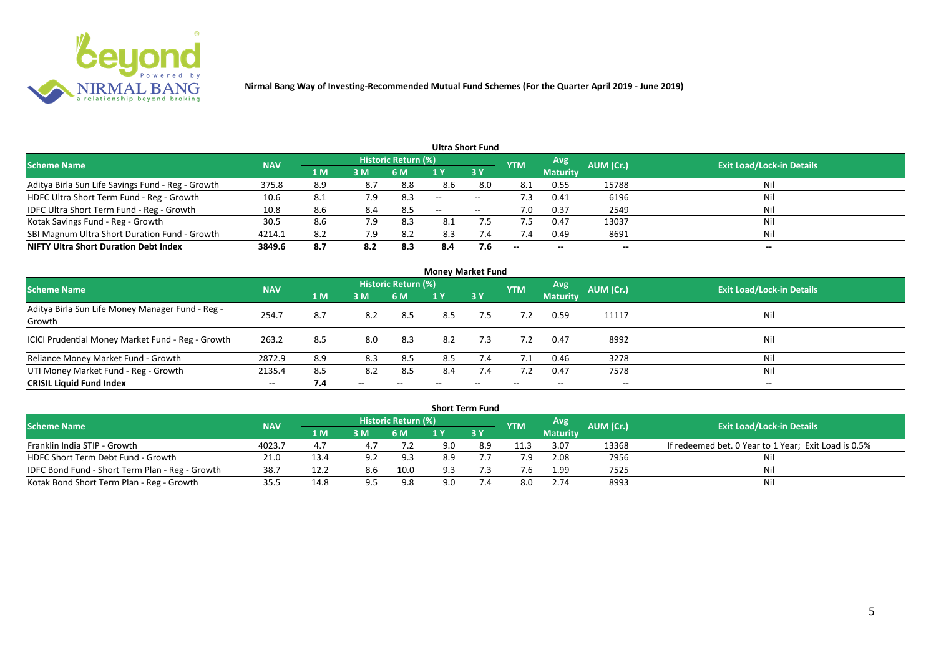

| Ultra Short Fund                                  |            |     |     |                            |     |                   |                          |                 |           |                                  |  |  |  |
|---------------------------------------------------|------------|-----|-----|----------------------------|-----|-------------------|--------------------------|-----------------|-----------|----------------------------------|--|--|--|
| <b>Scheme Name</b>                                | <b>NAV</b> |     |     | <b>Historic Return (%)</b> |     |                   | <b>YTM</b>               | Avg             | AUM (Cr.) | <b>Exit Load/Lock-in Details</b> |  |  |  |
|                                                   |            | 1 M | 3M  | 6 M                        |     | 3Y                |                          | <b>Maturity</b> |           |                                  |  |  |  |
| Aditya Birla Sun Life Savings Fund - Reg - Growth | 375.8      | 8.9 | 8.7 | 8.8                        | 8.6 | 8.0               | 8.1                      | 0.55            | 15788     | Nil                              |  |  |  |
| HDFC Ultra Short Term Fund - Reg - Growth         | 10.6       |     | 7.9 | 8.3                        | $-$ | $- -$             | د. ا                     | 0.41            | 6196      | Nil                              |  |  |  |
| IDFC Ultra Short Term Fund - Reg - Growth         | 10.8       | 8.6 | 8.4 | 8.5                        | $-$ | $\hspace{0.05cm}$ | 7.0                      | 0.37            | 2549      | Nil                              |  |  |  |
| Kotak Savings Fund - Reg - Growth                 | 30.5       | 8.6 | 7.9 | 8.3                        | 8.1 |                   |                          | 0.47            | 13037     | Nil                              |  |  |  |
| SBI Magnum Ultra Short Duration Fund - Growth     | 4214.1     | 8.2 | 7.9 | 8.2                        | 8.3 | 7.4               | 7.4                      | 0.49            | 8691      | Nil                              |  |  |  |
| <b>NIFTY Ultra Short Duration Debt Index</b>      | 3849.6     | 8.7 | 8.2 | 8.3                        | 8.4 | 7.6               | $\overline{\phantom{a}}$ | $- -$           | --        | $- -$                            |  |  |  |

| <b>Money Market Fund</b>                                   |            |                |       |                     |     |           |            |                 |           |                                  |  |  |  |
|------------------------------------------------------------|------------|----------------|-------|---------------------|-----|-----------|------------|-----------------|-----------|----------------------------------|--|--|--|
| <b>Scheme Name</b>                                         | <b>NAV</b> |                |       | Historic Return (%) |     |           | <b>YTM</b> | Avg             | AUM (Cr.) | <b>Exit Load/Lock-in Details</b> |  |  |  |
|                                                            |            | 1 <sub>M</sub> | 3 M   | 6 M                 | 1 Y | <b>3Y</b> |            | <b>Maturity</b> |           |                                  |  |  |  |
| Aditya Birla Sun Life Money Manager Fund - Reg -<br>Growth | 254.7      | 8.7            | 8.2   | 8.5                 | 8.5 | 7.5       | 7.2        | 0.59            | 11117     | Nil                              |  |  |  |
| ICICI Prudential Money Market Fund - Reg - Growth          | 263.2      | 8.5            | 8.0   | 8.3                 | 8.2 | 7.3       | 7.2        | 0.47            | 8992      | Nil                              |  |  |  |
| Reliance Money Market Fund - Growth                        | 2872.9     | 8.9            | 8.3   | 8.5                 | 8.5 | 7.4       | 7.1        | 0.46            | 3278      | Nil                              |  |  |  |
| UTI Money Market Fund - Reg - Growth                       | 2135.4     | 8.5            | 8.2   | 8.5                 | 8.4 | 7.4       |            | 0.47            | 7578      | Nil                              |  |  |  |
| <b>CRISIL Liquid Fund Index</b>                            | $- -$      | 7.4            | $- -$ |                     |     |           | --         | $- -$           | $- -$     | $- -$                            |  |  |  |

|                                                 |            |      |     |                            |     | <b>Short Term Fund</b> |            |                 |           |                                                      |
|-------------------------------------------------|------------|------|-----|----------------------------|-----|------------------------|------------|-----------------|-----------|------------------------------------------------------|
| <b>Scheme Name</b>                              | <b>NAV</b> |      |     | <b>Historic Return (%)</b> |     |                        | <b>YTM</b> | <b>Avg</b>      | AUM (Cr.) | <b>Exit Load/Lock-in Details</b>                     |
|                                                 |            | 1 M  | 3M  | 6 M                        |     | 73 Y                   |            | <b>Maturity</b> |           |                                                      |
| Franklin India STIP - Growth                    | 4023.7     |      |     |                            | 9.0 | 8.9                    | 11.3       | 3.07            | 13368     | If redeemed bet. 0 Year to 1 Year; Exit Load is 0.5% |
| HDFC Short Term Debt Fund - Growth              | 21.0       | 13.4 | 9.2 | 9.3                        | 8.9 |                        | 7.9        | 2.08            | 7956      |                                                      |
| IDFC Bond Fund - Short Term Plan - Reg - Growth | 38.7       | 12.2 | 8.6 | 10.0                       | 9.3 |                        |            | 1.99            | 7525      | Nil                                                  |
| Kotak Bond Short Term Plan - Reg - Growth       | 35.5       | 14.8 | 9.5 | 9.8                        | 9.0 |                        | 8.0        | 2.74            | 8993      | Nil                                                  |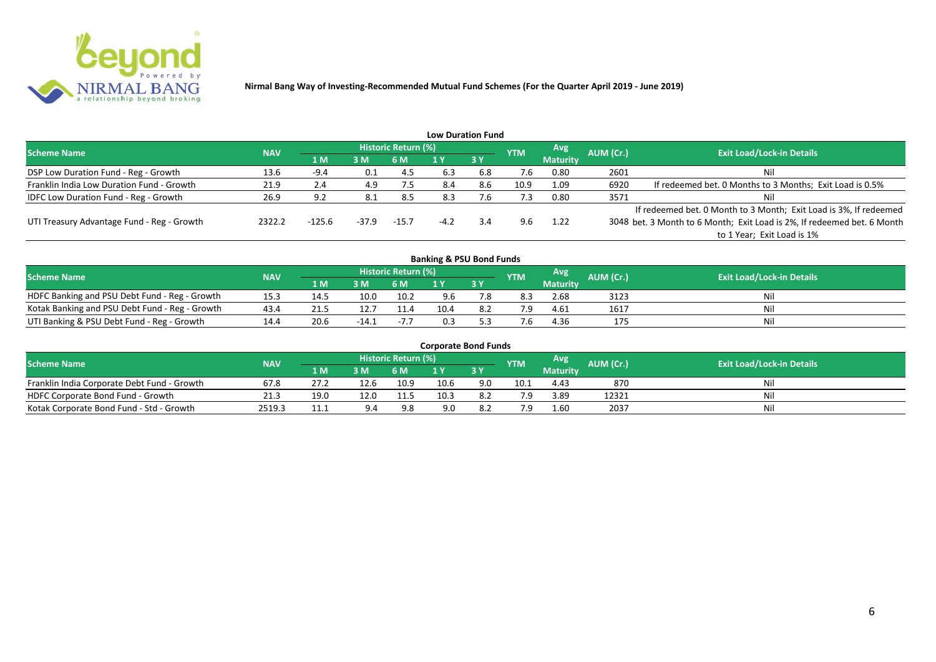

|                                              |            |        |         |                     |        | <b>Low Duration Fund</b> |            |                 |           |                                                                         |
|----------------------------------------------|------------|--------|---------|---------------------|--------|--------------------------|------------|-----------------|-----------|-------------------------------------------------------------------------|
| <b>Scheme Name</b>                           | <b>NAV</b> |        |         | Historic Return (%) |        |                          | <b>YTM</b> | Avg             | AUM (Cr.) | <b>Exit Load/Lock-in Details</b>                                        |
|                                              |            | /1 M   | 3 M     | 6 M                 |        | <b>3Y</b>                |            | <b>Maturity</b> |           |                                                                         |
| DSP Low Duration Fund - Reg - Growth         | 13.6       | $-9.4$ | 0.1     | 4.5                 | 6.3    | 6.8                      | 7.6        | 0.80            | 2601      | Nil                                                                     |
| Franklin India Low Duration Fund - Growth    | 21.9       | 2.4    | 4.9     | 7.5                 | 8.4    | 8.6                      | 10.9       | 1.09            | 6920      | If redeemed bet. 0 Months to 3 Months; Exit Load is 0.5%                |
| <b>IDFC Low Duration Fund - Reg - Growth</b> | 26.9       | 9.2    |         | 8.5                 | 8.3    | 7.6                      | 7.3        | 0.80            | 3571      | Nil                                                                     |
|                                              |            |        |         |                     |        |                          |            |                 |           | If redeemed bet. 0 Month to 3 Month; Exit Load is 3%, If redeemed       |
| UTI Treasury Advantage Fund - Reg - Growth   | 2322.2     | -125.6 | $-37.9$ | $-15.7$             | $-4.2$ | 3.4                      | 9.6        | 1.22            |           | 3048 bet. 3 Month to 6 Month; Exit Load is 2%, If redeemed bet. 6 Month |
|                                              |            |        |         |                     |        |                          |            |                 |           | to 1 Year; Exit Load is 1%                                              |
|                                              |            |        |         |                     |        |                          |            |                 |           |                                                                         |

| <b>Banking &amp; PSU Bond Funds</b>            |            |      |       |                     |      |    |            |                 |           |                                  |  |  |  |  |
|------------------------------------------------|------------|------|-------|---------------------|------|----|------------|-----------------|-----------|----------------------------------|--|--|--|--|
| <b>Scheme Name</b>                             | <b>NAV</b> |      |       | Historic Return (%) |      |    | <b>YTM</b> | Avg             | AUM (Cr.) | <b>Exit Load/Lock-in Details</b> |  |  |  |  |
|                                                |            | 1 M  | 3M    | 6 M                 |      | 3Y |            | <b>Maturity</b> |           |                                  |  |  |  |  |
| HDFC Banking and PSU Debt Fund - Reg - Growth  | 15.3       | 14.5 | 10.0  | 10.2                | 9.6  |    | 8.3        | 2.68            | 3123      | Nil                              |  |  |  |  |
| Kotak Banking and PSU Debt Fund - Reg - Growth | 43.4       | 21.5 |       | 11.4                | 10.4 |    |            | 4.61            | 1617      | Nil                              |  |  |  |  |
| UTI Banking & PSU Debt Fund - Reg - Growth     | 14.4       | 20.6 | -14.1 | $-7.7$              | 0.3  |    |            | 4.36            | 175       | Nil                              |  |  |  |  |

| <b>Corporate Bond Funds</b>                 |            |      |      |                            |      |      |            |                  |           |                                  |  |  |  |
|---------------------------------------------|------------|------|------|----------------------------|------|------|------------|------------------|-----------|----------------------------------|--|--|--|
| <b>Scheme Name</b>                          | <b>NAV</b> |      |      | <b>Historic Return (%)</b> |      |      | <b>YTM</b> | Avg <sup>1</sup> | AUM (Cr.) | <b>Exit Load/Lock-in Details</b> |  |  |  |
|                                             |            | 4 MZ | 3M   | 6 M                        |      | 73 Y |            | <b>Maturity</b>  |           |                                  |  |  |  |
| Franklin India Corporate Debt Fund - Growth | 67.8       |      | 12.6 | 10.9                       | 10.6 | 9.0  | 10.1       | 4.43             | 870       | Nil                              |  |  |  |
| HDFC Corporate Bond Fund - Growth           | 21.3       | 19.0 | 12.0 | 11.5                       | 10.3 | 8.2  |            | 3.89             | 12321     | Nil                              |  |  |  |
| Kotak Corporate Bond Fund - Std - Growth    | 2519.3     | 11.1 | 9.4  | 9.8                        | 9.0  |      |            | 1.60             | 2037      | Nil                              |  |  |  |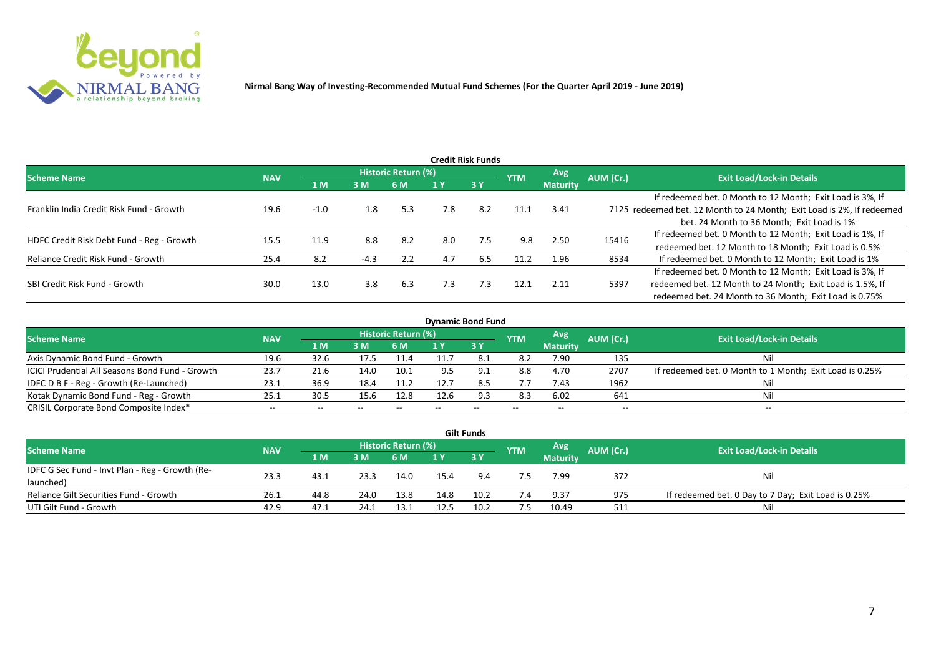

|                                           |            |        |        |                     |     | <b>Credit Risk Funds</b> |            |                 |           |                                                                       |
|-------------------------------------------|------------|--------|--------|---------------------|-----|--------------------------|------------|-----------------|-----------|-----------------------------------------------------------------------|
| <b>Scheme Name</b>                        | <b>NAV</b> |        |        | Historic Return (%) |     |                          | <b>YTM</b> | Avg.            | AUM (Cr.) | <b>Exit Load/Lock-in Details</b>                                      |
|                                           |            | 1 M    | 3M     | 6 M                 |     | 3 Y                      |            | <b>Maturity</b> |           |                                                                       |
|                                           |            |        |        |                     |     |                          |            |                 |           | If redeemed bet. 0 Month to 12 Month; Exit Load is 3%, If             |
| Franklin India Credit Risk Fund - Growth  | 19.6       | $-1.0$ | 1.8    | 5.3                 | 7.8 | 8.2                      | 11.1       | 3.41            |           | 7125 redeemed bet. 12 Month to 24 Month; Exit Load is 2%, If redeemed |
|                                           |            |        |        |                     |     |                          |            |                 |           | bet. 24 Month to 36 Month; Exit Load is 1%                            |
| HDFC Credit Risk Debt Fund - Reg - Growth | 15.5       | 11.9   | 8.8    | 8.2                 | 8.0 | 7.5                      | 9.8        | 2.50            | 15416     | If redeemed bet. 0 Month to 12 Month; Exit Load is 1%, If             |
|                                           |            |        |        |                     |     |                          |            |                 |           | redeemed bet. 12 Month to 18 Month; Exit Load is 0.5%                 |
| Reliance Credit Risk Fund - Growth        | 25.4       | 8.2    | $-4.3$ | 2.2                 | 4.7 | 6.5                      | 11.2       | 1.96            | 8534      | If redeemed bet. 0 Month to 12 Month; Exit Load is 1%                 |
|                                           |            |        |        |                     |     |                          |            |                 |           | If redeemed bet. 0 Month to 12 Month; Exit Load is 3%, If             |
| SBI Credit Risk Fund - Growth             | 30.0       | 13.0   | 3.8    | 6.3                 | 7.3 | 7.3                      | 12.1       | 2.11            | 5397      | redeemed bet. 12 Month to 24 Month; Exit Load is 1.5%, If             |
|                                           |            |        |        |                     |     |                          |            |                 |           | redeemed bet. 24 Month to 36 Month; Exit Load is 0.75%                |

| <b>Dynamic Bond Fund</b>                        |            |       |       |                          |      |           |            |                          |           |                                                         |  |  |  |  |
|-------------------------------------------------|------------|-------|-------|--------------------------|------|-----------|------------|--------------------------|-----------|---------------------------------------------------------|--|--|--|--|
| <b>Scheme Name</b>                              | <b>NAV</b> |       |       | Historic Return (%)      |      |           | <b>YTM</b> | Avg                      | AUM (Cr.) | <b>Exit Load/Lock-in Details</b>                        |  |  |  |  |
|                                                 |            | 1 M   | 3M    | 6 M                      |      | <b>3Y</b> |            | <b>Maturity</b>          |           |                                                         |  |  |  |  |
| Axis Dynamic Bond Fund - Growth                 | 19.6       | 32.6  | 17.5  |                          |      |           | 8.2        | 7.90                     | 135       | Νi                                                      |  |  |  |  |
| ICICI Prudential All Seasons Bond Fund - Growth | 23.7       | 21.6  | 14.0  | 10.1                     |      |           | 8.8        | 4.70                     | 2707      | If redeemed bet. 0 Month to 1 Month; Exit Load is 0.25% |  |  |  |  |
| IDFC D B F - Reg - Growth (Re-Launched)         | 23.1       | 36.9  | 18.4  | 11.2                     | 12.7 |           | 7.7        | 7.43                     | 1962      |                                                         |  |  |  |  |
| Kotak Dynamic Bond Fund - Reg - Growth          | 25.3       | 30.5  | 15.6  | 12.8                     | 12.6 | 9.3       | 8.3        | 6.02                     | 641       | Νi                                                      |  |  |  |  |
| CRISIL Corporate Bond Composite Index*          | $- -$      | $- -$ | $- -$ | $\overline{\phantom{m}}$ |      | $- -$     |            | $\overline{\phantom{a}}$ | $- -$     | $-$                                                     |  |  |  |  |

|                                                 |            |       |      |                     |      | <b>Gilt Funds</b> |            |                 |           |                                                     |
|-------------------------------------------------|------------|-------|------|---------------------|------|-------------------|------------|-----------------|-----------|-----------------------------------------------------|
| <b>Scheme Name</b>                              | <b>NAV</b> |       |      | Historic Return (%) |      |                   | <b>YTM</b> | <b>Avg</b>      | AUM (Cr.) | <b>Exit Load/Lock-in Details</b>                    |
|                                                 |            | 1 M / | 3 M  | 6 M                 | 1 Y  | <b>73 Y</b>       |            | <b>Maturity</b> |           |                                                     |
| IDFC G Sec Fund - Invt Plan - Reg - Growth (Re- |            |       |      |                     |      |                   |            |                 |           |                                                     |
| launched)                                       | 23.3       | 43.1  | 23.3 | 14.0                | 15.4 | 9.4               |            | 7.99            | 372       | Nil                                                 |
| Reliance Gilt Securities Fund - Growth          | 26.1       | 44.8  | 24.0 | 13.8                | 14.8 | 10.2              |            | 9.37            | 975       | If redeemed bet. 0 Day to 7 Day; Exit Load is 0.25% |
| UTI Gilt Fund - Growth                          | 42.9       | 47.1  | 24.1 | 13.1                | 12.5 |                   | 7.5        | 10.49           | 511       | Nil                                                 |